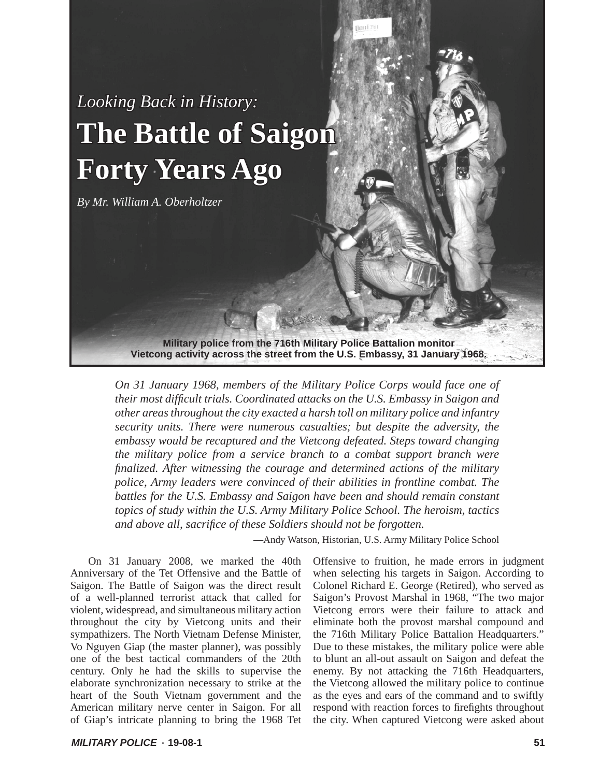## Looking Back in History: **The Battle of Saigon Forty Years Ago**

*By Mr. William A. Oberholtzer*

**Military police from the 716th Military Police Battalion monitor Vietcong activity across the street from the U.S. Embassy, 31 January 1968.** 

*On 31 January 1968, members of the Military Police Corps would face one of their most diffi cult trials. Coordinated attacks on the U.S. Embassy in Saigon and other areas throughout the city exacted a harsh toll on military police and infantry security units. There were numerous casualties; but despite the adversity, the embassy would be recaptured and the Vietcong defeated. Steps toward changing the military police from a service branch to a combat support branch were fi nalized. After witnessing the courage and determined actions of the military police, Army leaders were convinced of their abilities in frontline combat. The battles for the U.S. Embassy and Saigon have been and should remain constant topics of study within the U.S. Army Military Police School. The heroism, tactics and above all, sacrifi ce of these Soldiers should not be forgotten.*

—Andy Watson, Historian, U.S. Army Military Police School

On 31 January 2008, we marked the 40th Anniversary of the Tet Offensive and the Battle of Saigon. The Battle of Saigon was the direct result of a well-planned terrorist attack that called for violent, widespread, and simultaneous military action throughout the city by Vietcong units and their sympathizers. The North Vietnam Defense Minister, Vo Nguyen Giap (the master planner), was possibly one of the best tactical commanders of the 20th century. Only he had the skills to supervise the elaborate synchronization necessary to strike at the heart of the South Vietnam government and the American military nerve center in Saigon. For all of Giap's intricate planning to bring the 1968 Tet

Offensive to fruition, he made errors in judgment when selecting his targets in Saigon. According to Colonel Richard E. George (Retired), who served as Saigon's Provost Marshal in 1968, "The two major Vietcong errors were their failure to attack and eliminate both the provost marshal compound and the 716th Military Police Battalion Headquarters." Due to these mistakes, the military police were able to blunt an all-out assault on Saigon and defeat the enemy. By not attacking the 716th Headquarters, the Vietcong allowed the military police to continue as the eyes and ears of the command and to swiftly respond with reaction forces to firefights throughout the city. When captured Vietcong were asked about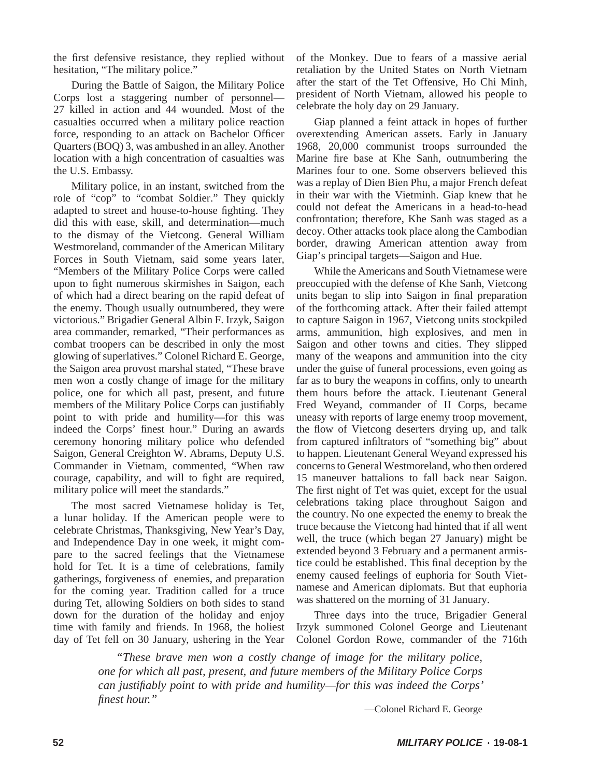the first defensive resistance, they replied without hesitation, "The military police."

During the Battle of Saigon, the Military Police Corps lost a staggering number of personnel— 27 killed in action and 44 wounded. Most of the casualties occurred when a military police reaction force, responding to an attack on Bachelor Officer Quarters (BOQ) 3, was ambushed in an alley. Another location with a high concentration of casualties was the U.S. Embassy.

Military police, in an instant, switched from the role of "cop" to "combat Soldier." They quickly adapted to street and house-to-house fighting. They did this with ease, skill, and determination—much to the dismay of the Vietcong. General William Westmoreland, commander of the American Military Forces in South Vietnam, said some years later, "Members of the Military Police Corps were called upon to fight numerous skirmishes in Saigon, each of which had a direct bearing on the rapid defeat of the enemy. Though usually outnumbered, they were victorious." Brigadier General Albin F. Irzyk, Saigon area commander, remarked, "Their performances as combat troopers can be described in only the most glowing of superlatives." Colonel Richard E. George, the Saigon area provost marshal stated, "These brave men won a costly change of image for the military police, one for which all past, present, and future members of the Military Police Corps can justifiably point to with pride and humility—for this was indeed the Corps' finest hour." During an awards ceremony honoring military police who defended Saigon, General Creighton W. Abrams, Deputy U.S. Commander in Vietnam, commented, "When raw courage, capability, and will to fight are required, military police will meet the standards."

The most sacred Vietnamese holiday is Tet, a lunar holiday. If the American people were to celebrate Christmas, Thanksgiving, New Year's Day, and Independence Day in one week, it might compare to the sacred feelings that the Vietnamese hold for Tet. It is a time of celebrations, family gatherings, forgiveness of enemies, and preparation for the coming year. Tradition called for a truce during Tet, allowing Soldiers on both sides to stand down for the duration of the holiday and enjoy time with family and friends. In 1968, the holiest day of Tet fell on 30 January, ushering in the Year

of the Monkey. Due to fears of a massive aerial retaliation by the United States on North Vietnam after the start of the Tet Offensive, Ho Chi Minh, president of North Vietnam, allowed his people to celebrate the holy day on 29 January.

Giap planned a feint attack in hopes of further overextending American assets. Early in January 1968, 20,000 communist troops surrounded the Marine fire base at Khe Sanh, outnumbering the Marines four to one. Some observers believed this was a replay of Dien Bien Phu, a major French defeat in their war with the Vietminh. Giap knew that he could not defeat the Americans in a head-to-head confrontation; therefore, Khe Sanh was staged as a decoy. Other attacks took place along the Cambodian border, drawing American attention away from Giap's principal targets—Saigon and Hue.

While the Americans and South Vietnamese were preoccupied with the defense of Khe Sanh, Vietcong units began to slip into Saigon in final preparation of the forthcoming attack. After their failed attempt to capture Saigon in 1967, Vietcong units stockpiled arms, ammunition, high explosives, and men in Saigon and other towns and cities. They slipped many of the weapons and ammunition into the city under the guise of funeral processions, even going as far as to bury the weapons in coffins, only to unearth them hours before the attack. Lieutenant General Fred Weyand, commander of II Corps, became uneasy with reports of large enemy troop movement, the flow of Vietcong deserters drying up, and talk from captured infiltrators of "something big" about to happen. Lieutenant General Weyand expressed his concerns to General Westmoreland, who then ordered 15 maneuver battalions to fall back near Saigon. The first night of Tet was quiet, except for the usual celebrations taking place throughout Saigon and the country. No one expected the enemy to break the truce because the Vietcong had hinted that if all went well, the truce (which began 27 January) might be extended beyond 3 February and a permanent armistice could be established. This final deception by the enemy caused feelings of euphoria for South Vietnamese and American diplomats. But that euphoria was shattered on the morning of 31 January.

Three days into the truce, Brigadier General Irzyk summoned Colonel George and Lieutenant Colonel Gordon Rowe, commander of the 716th

*"These brave men won a costly change of image for the military police, one for which all past, present, and future members of the Military Police Corps can justifi ably point to with pride and humility—for this was indeed the Corps' fi nest hour."* 

—Colonel Richard E. George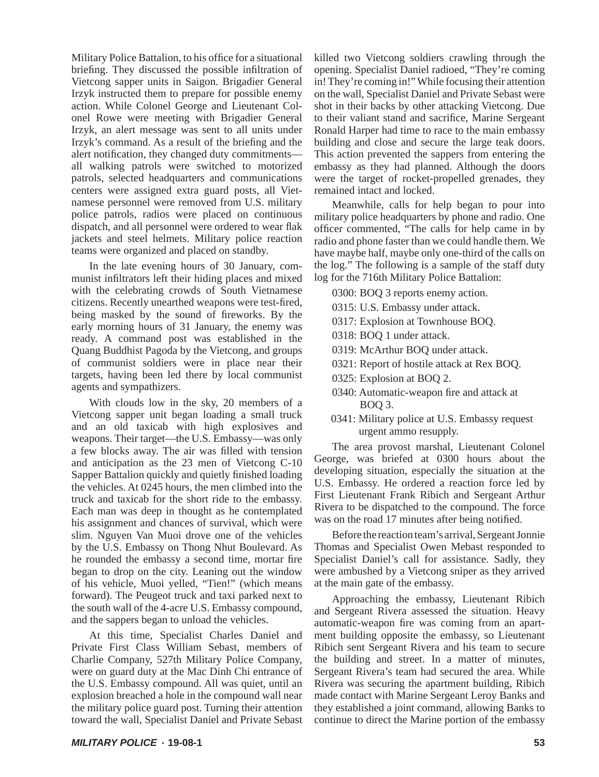Military Police Battalion, to his office for a situational briefing. They discussed the possible infiltration of Vietcong sapper units in Saigon. Brigadier General Irzyk instructed them to prepare for possible enemy action. While Colonel George and Lieutenant Colonel Rowe were meeting with Brigadier General Irzyk, an alert message was sent to all units under Irzyk's command. As a result of the briefing and the alert notification, they changed duty commitmentsall walking patrols were switched to motorized patrols, selected headquarters and communications centers were assigned extra guard posts, all Vietnamese personnel were removed from U.S. military police patrols, radios were placed on continuous dispatch, and all personnel were ordered to wear flak jackets and steel helmets. Military police reaction teams were organized and placed on standby.

In the late evening hours of 30 January, communist infiltrators left their hiding places and mixed with the celebrating crowds of South Vietnamese citizens. Recently unearthed weapons were test-fired, being masked by the sound of fireworks. By the early morning hours of 31 January, the enemy was ready. A command post was established in the Quang Buddhist Pagoda by the Vietcong, and groups of communist soldiers were in place near their targets, having been led there by local communist agents and sympathizers.

With clouds low in the sky, 20 members of a Vietcong sapper unit began loading a small truck and an old taxicab with high explosives and weapons. Their target—the U.S. Embassy—was only a few blocks away. The air was filled with tension and anticipation as the 23 men of Vietcong C-10 Sapper Battalion quickly and quietly finished loading the vehicles. At 0245 hours, the men climbed into the truck and taxicab for the short ride to the embassy. Each man was deep in thought as he contemplated his assignment and chances of survival, which were slim. Nguyen Van Muoi drove one of the vehicles by the U.S. Embassy on Thong Nhut Boulevard. As he rounded the embassy a second time, mortar fire began to drop on the city. Leaning out the window of his vehicle, Muoi yelled, "Tien!" (which means forward). The Peugeot truck and taxi parked next to the south wall of the 4-acre U.S. Embassy compound, and the sappers began to unload the vehicles.

At this time, Specialist Charles Daniel and Private First Class William Sebast, members of Charlie Company, 527th Military Police Company, were on guard duty at the Mac Dinh Chi entrance of the U.S. Embassy compound. All was quiet, until an explosion breached a hole in the compound wall near the military police guard post. Turning their attention toward the wall, Specialist Daniel and Private Sebast killed two Vietcong soldiers crawling through the opening. Specialist Daniel radioed, "They're coming in! They're coming in!" While focusing their attention on the wall, Specialist Daniel and Private Sebast were shot in their backs by other attacking Vietcong. Due to their valiant stand and sacrifice, Marine Sergeant Ronald Harper had time to race to the main embassy building and close and secure the large teak doors. This action prevented the sappers from entering the embassy as they had planned. Although the doors were the target of rocket-propelled grenades, they remained intact and locked.

Meanwhile, calls for help began to pour into military police headquarters by phone and radio. One officer commented, "The calls for help came in by radio and phone faster than we could handle them. We have maybe half, maybe only one-third of the calls on the log." The following is a sample of the staff duty log for the 716th Military Police Battalion:

0300: BOQ 3 reports enemy action.

0315: U.S. Embassy under attack.

0317: Explosion at Townhouse BOQ.

0318: BOQ 1 under attack.

0319: McArthur BOQ under attack.

- 0321: Report of hostile attack at Rex BOQ.
- 0325: Explosion at BOQ 2.
- 0340: Automatic-weapon fire and attack at BOQ 3.
- 0341: Military police at U.S. Embassy request urgent ammo resupply.

The area provost marshal, Lieutenant Colonel George, was briefed at 0300 hours about the developing situation, especially the situation at the U.S. Embassy. He ordered a reaction force led by First Lieutenant Frank Ribich and Sergeant Arthur Rivera to be dispatched to the compound. The force was on the road 17 minutes after being notified.

Before the reaction team's arrival, Sergeant Jonnie Thomas and Specialist Owen Mebast responded to Specialist Daniel's call for assistance. Sadly, they were ambushed by a Vietcong sniper as they arrived at the main gate of the embassy.

Approaching the embassy, Lieutenant Ribich and Sergeant Rivera assessed the situation. Heavy automatic-weapon fire was coming from an apartment building opposite the embassy, so Lieutenant Ribich sent Sergeant Rivera and his team to secure the building and street. In a matter of minutes, Sergeant Rivera's team had secured the area. While Rivera was securing the apartment building, Ribich made contact with Marine Sergeant Leroy Banks and they established a joint command, allowing Banks to continue to direct the Marine portion of the embassy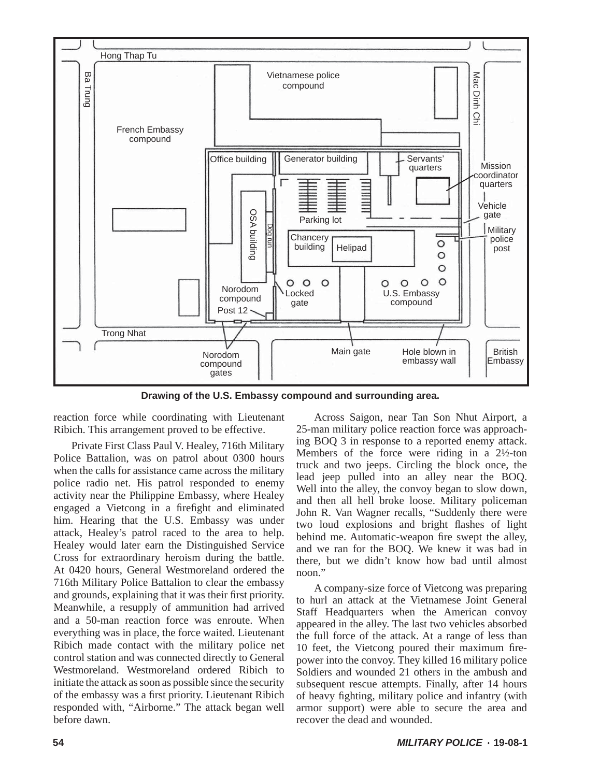

**Drawing of the U.S. Embassy compound and surrounding area.**

reaction force while coordinating with Lieutenant Ribich. This arrangement proved to be effective.

Private First Class Paul V. Healey, 716th Military Police Battalion, was on patrol about 0300 hours when the calls for assistance came across the military police radio net. His patrol responded to enemy activity near the Philippine Embassy, where Healey engaged a Vietcong in a firefight and eliminated him. Hearing that the U.S. Embassy was under attack, Healey's patrol raced to the area to help. Healey would later earn the Distinguished Service Cross for extraordinary heroism during the battle. At 0420 hours, General Westmoreland ordered the 716th Military Police Battalion to clear the embassy and grounds, explaining that it was their first priority. Meanwhile, a resupply of ammunition had arrived and a 50-man reaction force was enroute. When everything was in place, the force waited. Lieutenant Ribich made contact with the military police net control station and was connected directly to General Westmoreland. Westmoreland ordered Ribich to initiate the attack as soon as possible since the security of the embassy was a first priority. Lieutenant Ribich responded with, "Airborne." The attack began well before dawn.

Across Saigon, near Tan Son Nhut Airport, a 25-man military police reaction force was approaching BOQ 3 in response to a reported enemy attack. Members of the force were riding in a 2½-ton truck and two jeeps. Circling the block once, the lead jeep pulled into an alley near the BOQ. Well into the alley, the convoy began to slow down, and then all hell broke loose. Military policeman John R. Van Wagner recalls, "Suddenly there were two loud explosions and bright flashes of light behind me. Automatic-weapon fire swept the alley, and we ran for the BOQ. We knew it was bad in there, but we didn't know how bad until almost noon."

A company-size force of Vietcong was preparing to hurl an attack at the Vietnamese Joint General Staff Headquarters when the American convoy appeared in the alley. The last two vehicles absorbed the full force of the attack. At a range of less than 10 feet, the Vietcong poured their maximum firepower into the convoy. They killed 16 military police Soldiers and wounded 21 others in the ambush and subsequent rescue attempts. Finally, after 14 hours of heavy fighting, military police and infantry (with armor support) were able to secure the area and recover the dead and wounded.